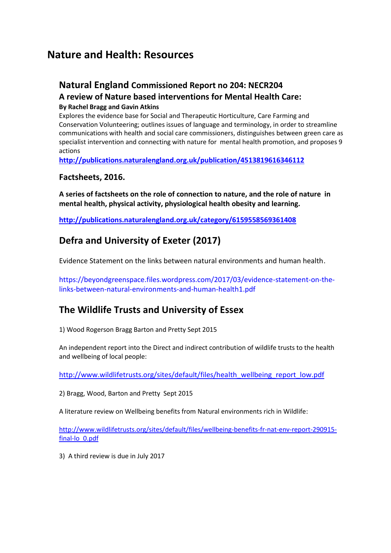# **Nature and Health: Resources**

### **Natural England Commissioned Report no 204: NECR204**

#### **A review of Nature based interventions for Mental Health Care:**

#### **By Rachel Bragg and Gavin Atkins**

Explores the evidence base for Social and Therapeutic Horticulture, Care Farming and Conservation Volunteering; outlines issues of language and terminology, in order to streamline communications with health and social care commissioners, distinguishes between green care as specialist intervention and connecting with nature for mental health promotion, and proposes 9 actions

**<http://publications.naturalengland.org.uk/publication/4513819616346112>**

#### **Factsheets, 2016.**

**A series of factsheets on the role of connection to nature, and the role of nature in mental health, physical activity, physiological health obesity and learning.** 

**<http://publications.naturalengland.org.uk/category/6159558569361408>**

# **Defra and University of Exeter (2017)**

Evidence Statement on the links between natural environments and human health.

https://beyondgreenspace.files.wordpress.com/2017/03/evidence-statement-on-thelinks-between-natural-environments-and-human-health1.pdf

## **The Wildlife Trusts and University of Essex**

1) Wood Rogerson Bragg Barton and Pretty Sept 2015

An independent report into the Direct and indirect contribution of wildlife trusts to the health and wellbeing of local people:

[http://www.wildlifetrusts.org/sites/default/files/health\\_wellbeing\\_report\\_low.pdf](http://www.wildlifetrusts.org/sites/default/files/health_wellbeing_report_low.pdf)

2) Bragg, Wood, Barton and Pretty Sept 2015

A literature review on Wellbeing benefits from Natural environments rich in Wildlife:

[http://www.wildlifetrusts.org/sites/default/files/wellbeing-benefits-fr-nat-env-report-290915](http://www.wildlifetrusts.org/sites/default/files/wellbeing-benefits-fr-nat-env-report-290915-final-lo_0.pdf) [final-lo\\_0.pdf](http://www.wildlifetrusts.org/sites/default/files/wellbeing-benefits-fr-nat-env-report-290915-final-lo_0.pdf)

3) A third review is due in July 2017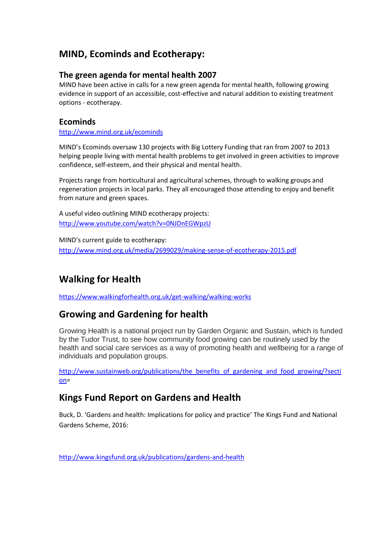## **MIND, Ecominds and Ecotherapy:**

#### **The green agenda for mental health 2007**

MIND have been active in calls for a new green agenda for mental health, following growing evidence in support of an accessible, cost-effective and natural addition to existing treatment options - ecotherapy.

#### **Ecominds**

<http://www.mind.org.uk/ecominds>

MIND's Ecominds oversaw 130 projects with Big Lottery Funding that ran from 2007 to 2013 helping people living with mental health problems to get involved in green activities to improve confidence, self-esteem, and their physical and mental health.

Projects range from horticultural and agricultural schemes, through to walking groups and regeneration projects in local parks. They all encouraged those attending to enjoy and benefit from nature and green spaces.

A useful video outlining MIND ecotherapy projects: <http://www.youtube.com/watch?v=0NJDnEGWpzU>

MIND's current guide to ecotherapy: <http://www.mind.org.uk/media/2699029/making-sense-of-ecotherapy-2015.pdf>

# **Walking for Health**

<https://www.walkingforhealth.org.uk/get-walking/walking-works>

### **Growing and Gardening for health**

Growing Health is a national project run by Garden Organic and Sustain, which is funded by the Tudor Trust, to see how community food growing can be routinely used by the health and social care services as a way of promoting health and wellbeing for a range of individuals and population groups.

[http://www.sustainweb.org/publications/the\\_benefits\\_of\\_gardening\\_and\\_food\\_growing/?secti](http://www.sustainweb.org/publications/the_benefits_of_gardening_and_food_growing/?section)  $on =$ 

### **Kings Fund Report on Gardens and Health**

Buck, D. 'Gardens and health: Implications for policy and practice' The Kings Fund and National Gardens Scheme, 2016:

<http://www.kingsfund.org.uk/publications/gardens-and-health>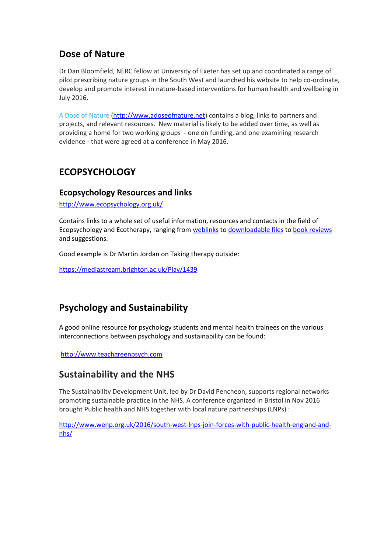### **Dose of Nature**

Dr Dan Bloomfield, NERC fellow at University of Exeter has set up and coordinated a range of pilot prescribing nature groups in the South West and launched his website to help co-ordinate, develop and promote interest in nature-based interventions for human health and wellbeing in July 2016.

[A Dose of Nature](http://www.adoseofnature.net/) [\(http://www.adoseofnature.net\)](http://www.adoseofnature.net/) contains a blog, links to partners and projects, and relevant resources. New material is likely to be added over time, as well as providing a home for two working groups - one on funding, and one examining research evidence - that were agreed at a conference in May 2016.

## **ECOPSYCHOLOGY**

#### **Ecopsychology Resources and links**

<http://www.ecopsychology.org.uk/>

Contains links to a whole set of useful information, resources and contacts in the field of Ecopsychology and Ecotherapy, ranging fro[m weblinks](http://www.ecopsychology.org.uk/resources/links/) to [downloadable files](http://www.ecopsychology.org.uk/resources/articles/) to [book reviews](http://www.ecopsychology.org.uk/resources/books2/) and suggestions.

Good example is Dr Martin Jordan on Taking therapy outside:

<https://mediastream.brighton.ac.uk/Play/1439>

# **Psychology and Sustainability**

A good online resource for psychology students and mental health trainees on the various interconnections between psychology and sustainability can be found:

[http://www.teachgreenpsych.com](http://www.teachgreenpsych.com/)

### **Sustainability and the NHS**

The Sustainability Development Unit, led by Dr David Pencheon, supports regional networks promoting sustainable practice in the NHS. A conference organized in Bristol in Nov 2016 brought Public health and NHS together with local nature partnerships (LNPs) :

[http://www.wenp.org.uk/2016/south-west-lnps-join-forces-with-public-health-england-and](http://www.wenp.org.uk/2016/south-west-lnps-join-forces-with-public-health-england-and-nhs/)[nhs/](http://www.wenp.org.uk/2016/south-west-lnps-join-forces-with-public-health-england-and-nhs/)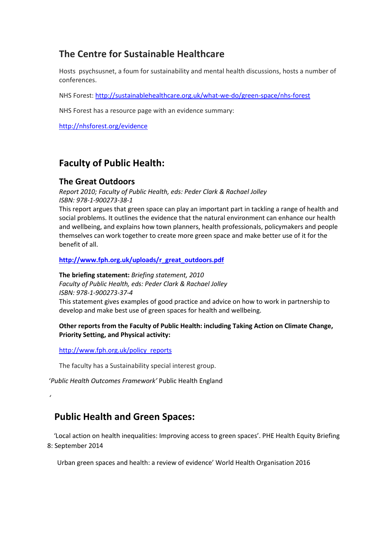## **The Centre for Sustainable Healthcare**

Hosts psychsusnet, a foum for sustainability and mental health discussions, hosts a number of conferences.

NHS Forest:<http://sustainablehealthcare.org.uk/what-we-do/green-space/nhs-forest>

NHS Forest has a resource page with an evidence summary:

<http://nhsforest.org/evidence>

### **Faculty of Public Health:**

#### **The Great Outdoors**

*Report 2010; Faculty of Public Health, eds: Peder Clark & Rachael Jolley ISBN: 978-1-900273-38-1*

This report argues that green space can play an important part in tackling a range of health and social problems. It outlines the evidence that the natural environment can enhance our health and wellbeing, and explains how town planners, health professionals, policymakers and people themselves can work together to create more green space and make better use of it for the benefit of all.

**[http://www.fph.org.uk/uploads/r\\_great\\_outdoors.pdf](http://www.fph.org.uk/uploads/r_great_outdoors.pdf)**

**The briefing statement:** *Briefing statement, 2010 Faculty of Public Health, eds: Peder Clark & Rachael Jolley ISBN: 978-1-900273-37-4* This statement gives examples of good practice and advice on how to work in partnership to develop and make best use of green spaces for health and wellbeing.

#### **Other reports from the Faculty of Public Health: including Taking Action on Climate Change, Priority Setting, and Physical activity:**

[http://www.fph.org.uk/policy\\_reports](http://www.fph.org.uk/policy_reports)

*'*

The faculty has a Sustainability special interest group.

'*Public Health Outcomes Framework'* Public Health England

 **Public Health and Green Spaces:**

 'Local action on health inequalities: Improving access to green spaces'. PHE Health Equity Briefing 8: September 2014

Urban green spaces and health: a review of evidence' World Health Organisation 2016